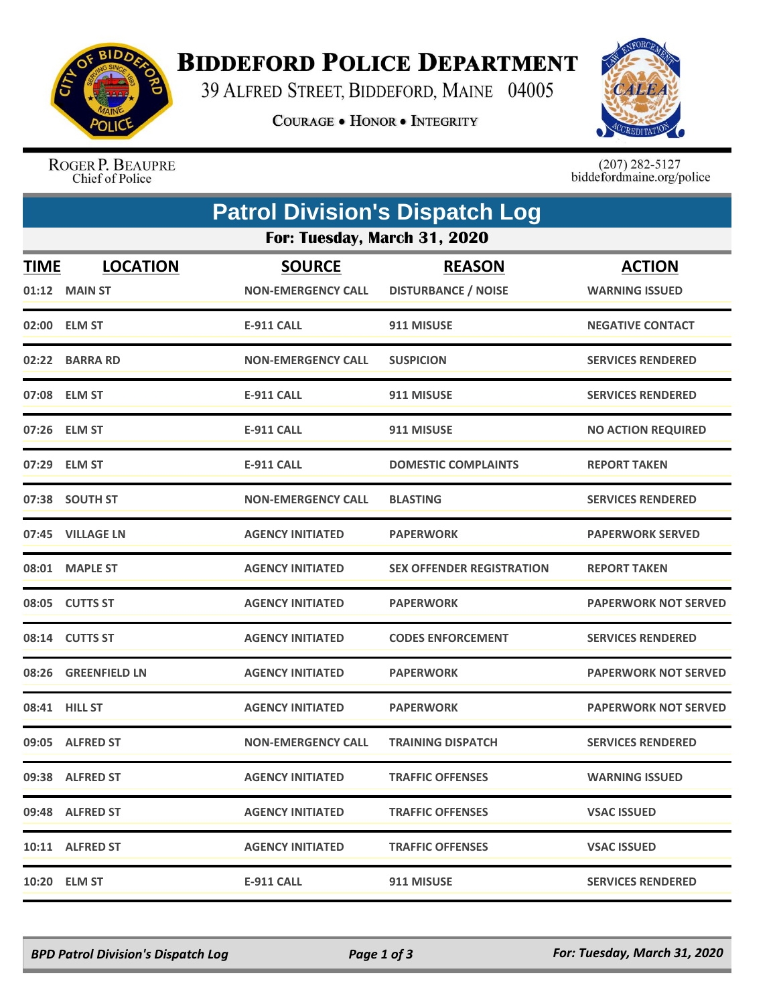

## **BIDDEFORD POLICE DEPARTMENT**

39 ALFRED STREET, BIDDEFORD, MAINE 04005

**COURAGE . HONOR . INTEGRITY** 



ROGER P. BEAUPRE<br>Chief of Police

 $(207)$  282-5127<br>biddefordmaine.org/police

|                              | <b>Patrol Division's Dispatch Log</b> |                           |                            |                             |  |  |  |
|------------------------------|---------------------------------------|---------------------------|----------------------------|-----------------------------|--|--|--|
| For: Tuesday, March 31, 2020 |                                       |                           |                            |                             |  |  |  |
| <b>TIME</b>                  | <b>LOCATION</b>                       | <b>SOURCE</b>             | <b>REASON</b>              | <b>ACTION</b>               |  |  |  |
|                              | 01:12 MAIN ST                         | <b>NON-EMERGENCY CALL</b> | <b>DISTURBANCE / NOISE</b> | <b>WARNING ISSUED</b>       |  |  |  |
|                              | 02:00 ELM ST                          | <b>E-911 CALL</b>         | 911 MISUSE                 | <b>NEGATIVE CONTACT</b>     |  |  |  |
|                              | 02:22 BARRA RD                        | <b>NON-EMERGENCY CALL</b> | <b>SUSPICION</b>           | <b>SERVICES RENDERED</b>    |  |  |  |
|                              | 07:08 ELM ST                          | <b>E-911 CALL</b>         | 911 MISUSE                 | <b>SERVICES RENDERED</b>    |  |  |  |
|                              | 07:26 ELM ST                          | <b>E-911 CALL</b>         | 911 MISUSE                 | <b>NO ACTION REQUIRED</b>   |  |  |  |
|                              | 07:29 ELM ST                          | <b>E-911 CALL</b>         | <b>DOMESTIC COMPLAINTS</b> | <b>REPORT TAKEN</b>         |  |  |  |
|                              | 07:38 SOUTH ST                        | <b>NON-EMERGENCY CALL</b> | <b>BLASTING</b>            | <b>SERVICES RENDERED</b>    |  |  |  |
|                              | 07:45 VILLAGE LN                      | <b>AGENCY INITIATED</b>   | <b>PAPERWORK</b>           | <b>PAPERWORK SERVED</b>     |  |  |  |
|                              | 08:01 MAPLE ST                        | <b>AGENCY INITIATED</b>   | SEX OFFENDER REGISTRATION  | <b>REPORT TAKEN</b>         |  |  |  |
|                              | 08:05 CUTTS ST                        | <b>AGENCY INITIATED</b>   | <b>PAPERWORK</b>           | <b>PAPERWORK NOT SERVED</b> |  |  |  |
|                              | 08:14 CUTTS ST                        | <b>AGENCY INITIATED</b>   | <b>CODES ENFORCEMENT</b>   | <b>SERVICES RENDERED</b>    |  |  |  |
|                              | 08:26 GREENFIELD LN                   | <b>AGENCY INITIATED</b>   | <b>PAPERWORK</b>           | <b>PAPERWORK NOT SERVED</b> |  |  |  |
|                              | 08:41 HILL ST                         | <b>AGENCY INITIATED</b>   | <b>PAPERWORK</b>           | <b>PAPERWORK NOT SERVED</b> |  |  |  |
|                              | 09:05 ALFRED ST                       | <b>NON-EMERGENCY CALL</b> | <b>TRAINING DISPATCH</b>   | <b>SERVICES RENDERED</b>    |  |  |  |
|                              | 09:38 ALFRED ST                       | <b>AGENCY INITIATED</b>   | <b>TRAFFIC OFFENSES</b>    | <b>WARNING ISSUED</b>       |  |  |  |
|                              | 09:48 ALFRED ST                       | <b>AGENCY INITIATED</b>   | <b>TRAFFIC OFFENSES</b>    | <b>VSAC ISSUED</b>          |  |  |  |
|                              | 10:11 ALFRED ST                       | <b>AGENCY INITIATED</b>   | <b>TRAFFIC OFFENSES</b>    | <b>VSAC ISSUED</b>          |  |  |  |
|                              | 10:20 ELM ST                          | <b>E-911 CALL</b>         | 911 MISUSE                 | <b>SERVICES RENDERED</b>    |  |  |  |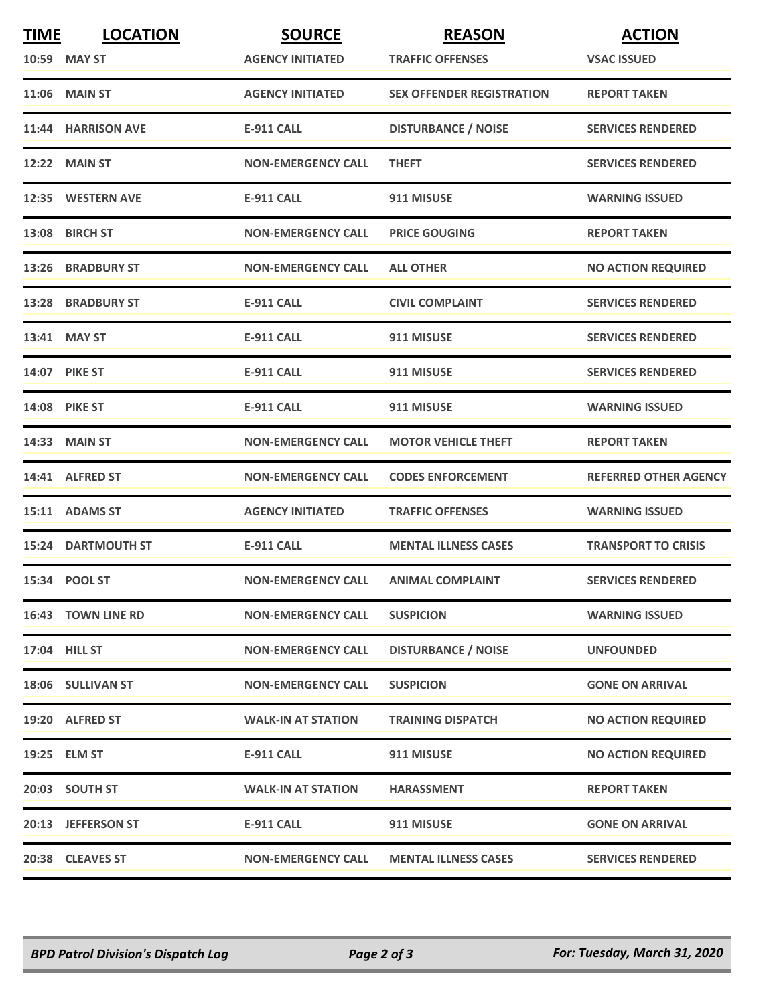| <b>TIME</b> | <b>LOCATION</b><br>10:59 MAY ST | <b>SOURCE</b><br><b>AGENCY INITIATED</b> | <b>REASON</b><br><b>TRAFFIC OFFENSES</b> | <b>ACTION</b><br><b>VSAC ISSUED</b> |
|-------------|---------------------------------|------------------------------------------|------------------------------------------|-------------------------------------|
|             | <b>11:06 MAIN ST</b>            | <b>AGENCY INITIATED</b>                  | <b>SEX OFFENDER REGISTRATION</b>         | <b>REPORT TAKEN</b>                 |
|             | 11:44 HARRISON AVE              | <b>E-911 CALL</b>                        | <b>DISTURBANCE / NOISE</b>               | <b>SERVICES RENDERED</b>            |
|             | 12:22 MAIN ST                   | <b>NON-EMERGENCY CALL</b>                | <b>THEFT</b>                             | <b>SERVICES RENDERED</b>            |
|             | 12:35 WESTERN AVE               | <b>E-911 CALL</b>                        | 911 MISUSE                               | <b>WARNING ISSUED</b>               |
|             | 13:08 BIRCH ST                  | <b>NON-EMERGENCY CALL</b>                | <b>PRICE GOUGING</b>                     | <b>REPORT TAKEN</b>                 |
|             | 13:26 BRADBURY ST               | <b>NON-EMERGENCY CALL</b>                | <b>ALL OTHER</b>                         | <b>NO ACTION REQUIRED</b>           |
|             | 13:28 BRADBURY ST               | <b>E-911 CALL</b>                        | <b>CIVIL COMPLAINT</b>                   | <b>SERVICES RENDERED</b>            |
|             | 13:41 MAY ST                    | <b>E-911 CALL</b>                        | 911 MISUSE                               | <b>SERVICES RENDERED</b>            |
|             | <b>14:07 PIKE ST</b>            | <b>E-911 CALL</b>                        | 911 MISUSE                               | <b>SERVICES RENDERED</b>            |
|             | <b>14:08 PIKE ST</b>            | <b>E-911 CALL</b>                        | 911 MISUSE                               | <b>WARNING ISSUED</b>               |
|             | 14:33 MAIN ST                   | <b>NON-EMERGENCY CALL</b>                | <b>MOTOR VEHICLE THEFT</b>               | <b>REPORT TAKEN</b>                 |
|             | 14:41 ALFRED ST                 | <b>NON-EMERGENCY CALL</b>                | <b>CODES ENFORCEMENT</b>                 | <b>REFERRED OTHER AGENCY</b>        |
|             | 15:11 ADAMS ST                  | <b>AGENCY INITIATED</b>                  | <b>TRAFFIC OFFENSES</b>                  | <b>WARNING ISSUED</b>               |
|             | <b>15:24 DARTMOUTH ST</b>       | <b>E-911 CALL</b>                        | <b>MENTAL ILLNESS CASES</b>              | <b>TRANSPORT TO CRISIS</b>          |
|             | 15:34 POOL ST                   | <b>NON-EMERGENCY CALL</b>                | <b>ANIMAL COMPLAINT</b>                  | <b>SERVICES RENDERED</b>            |
|             | 16:43 TOWN LINE RD              | <b>NON-EMERGENCY CALL</b>                | <b>SUSPICION</b>                         | <b>WARNING ISSUED</b>               |
|             | 17:04 HILL ST                   | <b>NON-EMERGENCY CALL</b>                | <b>DISTURBANCE / NOISE</b>               | <b>UNFOUNDED</b>                    |
|             | 18:06 SULLIVAN ST               | <b>NON-EMERGENCY CALL</b>                | <b>SUSPICION</b>                         | <b>GONE ON ARRIVAL</b>              |
|             | 19:20 ALFRED ST                 | <b>WALK-IN AT STATION</b>                | <b>TRAINING DISPATCH</b>                 | <b>NO ACTION REQUIRED</b>           |
|             | 19:25 ELM ST                    | E-911 CALL                               | 911 MISUSE                               | <b>NO ACTION REQUIRED</b>           |
|             | 20:03 SOUTH ST                  | <b>WALK-IN AT STATION</b>                | <b>HARASSMENT</b>                        | <b>REPORT TAKEN</b>                 |
|             | 20:13 JEFFERSON ST              | <b>E-911 CALL</b>                        | 911 MISUSE                               | <b>GONE ON ARRIVAL</b>              |
|             | 20:38 CLEAVES ST                | <b>NON-EMERGENCY CALL</b>                | <b>MENTAL ILLNESS CASES</b>              | <b>SERVICES RENDERED</b>            |